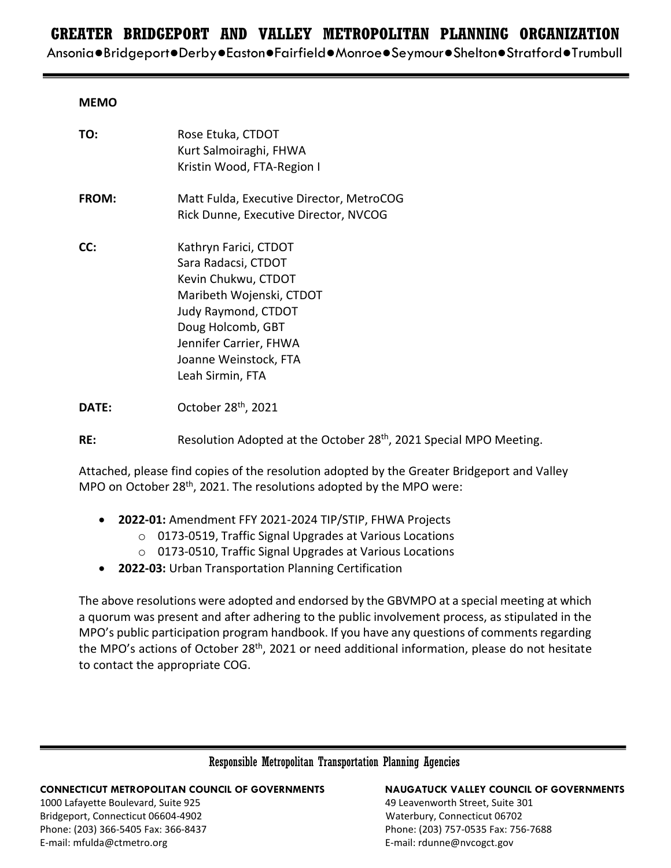# **GREATER BRIDGEPORT AND VALLEY METROPOLITAN PLANNING ORGANIZATION**

Ansonia●Bridgeport●Derby●Easton●Fairfield●Monroe●Seymour●Shelton●Stratford●Trumbull

### **MEMO**

| TO:   | Rose Etuka, CTDOT<br>Kurt Salmoiraghi, FHWA<br>Kristin Wood, FTA-Region I                                                                                                                                          |
|-------|--------------------------------------------------------------------------------------------------------------------------------------------------------------------------------------------------------------------|
| FROM: | Matt Fulda, Executive Director, MetroCOG<br>Rick Dunne, Executive Director, NVCOG                                                                                                                                  |
| CC:   | Kathryn Farici, CTDOT<br>Sara Radacsi, CTDOT<br>Kevin Chukwu, CTDOT<br>Maribeth Wojenski, CTDOT<br>Judy Raymond, CTDOT<br>Doug Holcomb, GBT<br>Jennifer Carrier, FHWA<br>Joanne Weinstock, FTA<br>Leah Sirmin, FTA |
| DATE: | October 28 <sup>th</sup> , 2021                                                                                                                                                                                    |
| RE:   | Resolution Adopted at the October 28 <sup>th</sup> , 2021 Special MPO Meeting.                                                                                                                                     |

Attached, please find copies of the resolution adopted by the Greater Bridgeport and Valley MPO on October 28<sup>th</sup>, 2021. The resolutions adopted by the MPO were:

- **2022-01:** Amendment FFY 2021-2024 TIP/STIP, FHWA Projects
	- o 0173-0519, Traffic Signal Upgrades at Various Locations
	- o 0173-0510, Traffic Signal Upgrades at Various Locations
- **2022-03:** Urban Transportation Planning Certification

The above resolutions were adopted and endorsed by the GBVMPO at a special meeting at which a quorum was present and after adhering to the public involvement process, as stipulated in the MPO's public participation program handbook. If you have any questions of comments regarding the MPO's actions of October 28<sup>th</sup>, 2021 or need additional information, please do not hesitate to contact the appropriate COG.

## Responsible Metropolitan Transportation Planning Agencies

**CONNECTICUT METROPOLITAN COUNCIL OF GOVERNMENTS NAUGATUCK VALLEY COUNCIL OF GOVERNMENTS**

1000 Lafayette Boulevard, Suite 925 49 Leavenworth Street, Suite 301 Bridgeport, Connecticut 06604-4902 Waterbury, Connecticut 06702 Phone: (203) 366-5405 Fax: 366-8437 Phone: (203) 757-0535 Fax: 756-7688 E-mail: mfulda@ctmetro.org entitled and the settlement of the settlement of the E-mail: rdunne@nvcogct.gov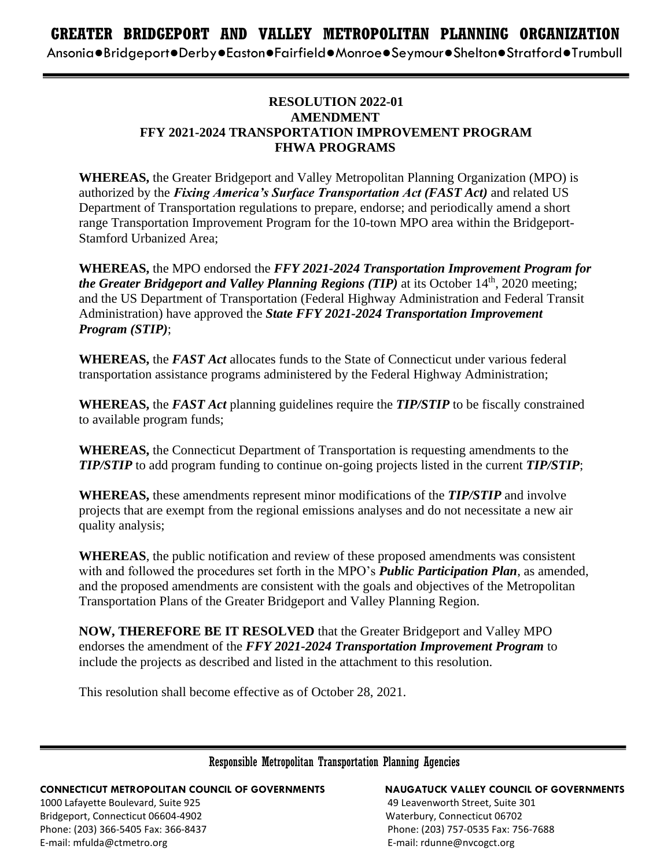Ansonia●Bridgeport●Derby●Easton●Fairfield●Monroe●Seymour●Shelton●Stratford●Trumbull

## **RESOLUTION 2022-01 AMENDMENT FFY 2021-2024 TRANSPORTATION IMPROVEMENT PROGRAM FHWA PROGRAMS**

**WHEREAS,** the Greater Bridgeport and Valley Metropolitan Planning Organization (MPO) is authorized by the *Fixing America's Surface Transportation Act (FAST Act)* and related US Department of Transportation regulations to prepare, endorse; and periodically amend a short range Transportation Improvement Program for the 10-town MPO area within the Bridgeport-Stamford Urbanized Area;

**WHEREAS,** the MPO endorsed the *FFY 2021-2024 Transportation Improvement Program for the Greater Bridgeport and Valley Planning Regions <i>(TIP)* at its October 14<sup>th</sup>, 2020 meeting; and the US Department of Transportation (Federal Highway Administration and Federal Transit Administration) have approved the *State FFY 2021-2024 Transportation Improvement Program (STIP)*;

**WHEREAS,** the *FAST Act* allocates funds to the State of Connecticut under various federal transportation assistance programs administered by the Federal Highway Administration;

**WHEREAS,** the *FAST Act* planning guidelines require the *TIP/STIP* to be fiscally constrained to available program funds;

**WHEREAS,** the Connecticut Department of Transportation is requesting amendments to the *TIP/STIP* to add program funding to continue on-going projects listed in the current *TIP/STIP*;

**WHEREAS,** these amendments represent minor modifications of the *TIP/STIP* and involve projects that are exempt from the regional emissions analyses and do not necessitate a new air quality analysis;

**WHEREAS**, the public notification and review of these proposed amendments was consistent with and followed the procedures set forth in the MPO's *Public Participation Plan*, as amended, and the proposed amendments are consistent with the goals and objectives of the Metropolitan Transportation Plans of the Greater Bridgeport and Valley Planning Region.

**NOW, THEREFORE BE IT RESOLVED** that the Greater Bridgeport and Valley MPO endorses the amendment of the *FFY 2021-2024 Transportation Improvement Program* to include the projects as described and listed in the attachment to this resolution.

This resolution shall become effective as of October 28, 2021.

## Responsible Metropolitan Transportation Planning Agencies

**CONNECTICUT METROPOLITAN COUNCIL OF GOVERNMENTS NAUGATUCK VALLEY COUNCIL OF GOVERNMENTS**

1000 Lafayette Boulevard, Suite 925 49 Leavenworth Street, Suite 301 Bridgeport, Connecticut 06604-4902 Waterbury, Connecticut 06702 Phone: (203) 366-5405 Fax: 366-8437 Phone: (203) 757-0535 Fax: 756-7688 E-mail: mfulda@ctmetro.org entitled and the set of the set of the E-mail: rdunne@nvcogct.org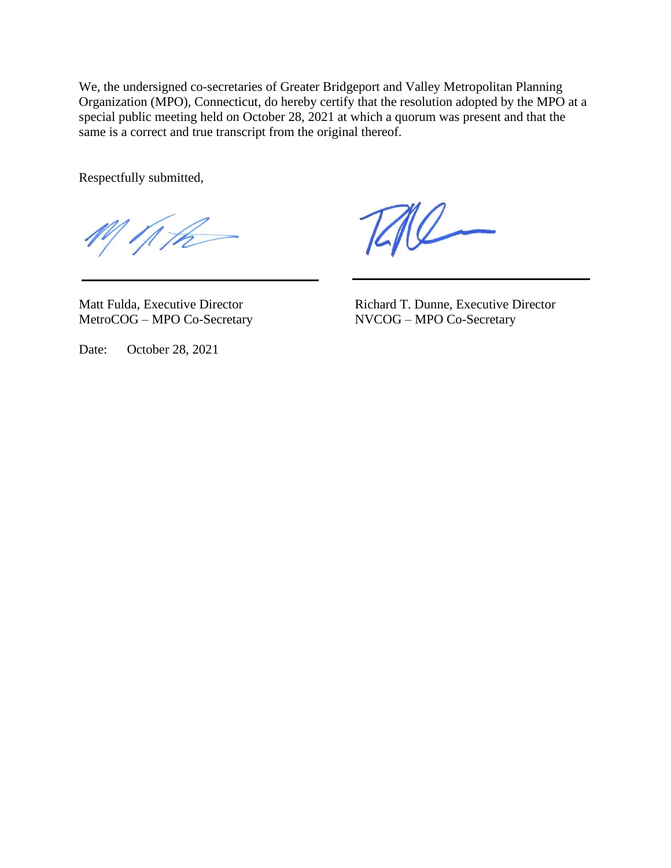We, the undersigned co-secretaries of Greater Bridgeport and Valley Metropolitan Planning Organization (MPO), Connecticut, do hereby certify that the resolution adopted by the MPO at a special public meeting held on October 28, 2021 at which a quorum was present and that the same is a correct and true transcript from the original thereof.

Respectfully submitted,

1ph

710

MetroCOG – MPO Co-Secretary NVCOG – MPO Co-Secretary

Matt Fulda, Executive Director Richard T. Dunne, Executive Director

Date: October 28, 2021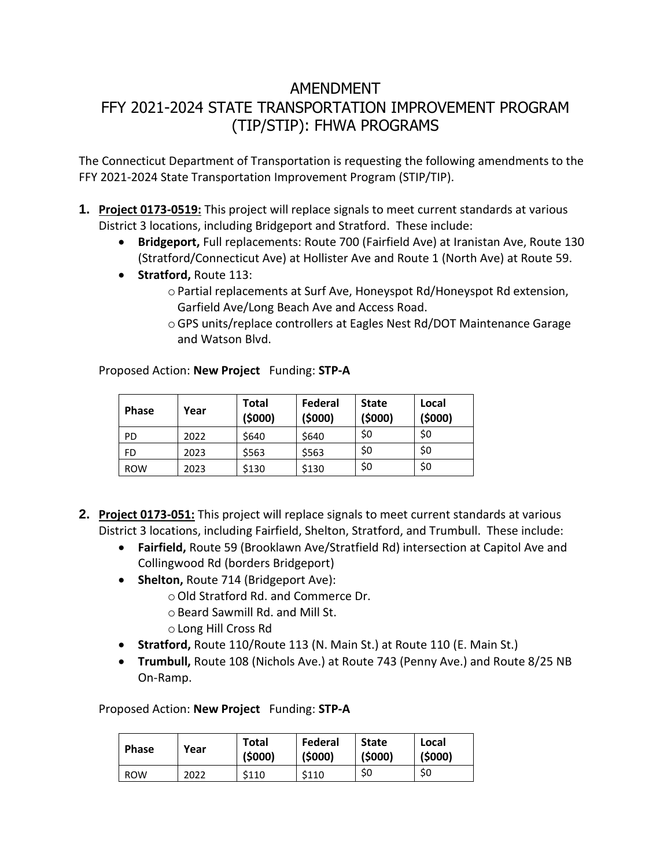# AMENDMENT FFY 2021-2024 STATE TRANSPORTATION IMPROVEMENT PROGRAM (TIP/STIP): FHWA PROGRAMS

The Connecticut Department of Transportation is requesting the following amendments to the FFY 2021-2024 State Transportation Improvement Program (STIP/TIP).

- **1. Project 0173-0519:** This project will replace signals to meet current standards at various District 3 locations, including Bridgeport and Stratford. These include:
	- **Bridgeport,** Full replacements: Route 700 (Fairfield Ave) at Iranistan Ave, Route 130 (Stratford/Connecticut Ave) at Hollister Ave and Route 1 (North Ave) at Route 59.
	- **Stratford,** Route 113:
		- oPartial replacements at Surf Ave, Honeyspot Rd/Honeyspot Rd extension, Garfield Ave/Long Beach Ave and Access Road.
		- oGPS units/replace controllers at Eagles Nest Rd/DOT Maintenance Garage and Watson Blvd.

Proposed Action: **New Project** Funding: **STP-A**

| <b>Phase</b> | Year | <b>Total</b><br>(\$000) | <b>State</b><br>(5000) | Local<br>(5000) |     |
|--------------|------|-------------------------|------------------------|-----------------|-----|
| PD           | 2022 | \$640                   | \$640                  | \$0             | \$0 |
| FD           | 2023 | \$563                   | \$563                  | \$0             | \$0 |
| <b>ROW</b>   | 2023 | \$130                   | \$130                  | \$0             | \$0 |

- **2. Project 0173-051:** This project will replace signals to meet current standards at various District 3 locations, including Fairfield, Shelton, Stratford, and Trumbull. These include:
	- **Fairfield,** Route 59 (Brooklawn Ave/Stratfield Rd) intersection at Capitol Ave and Collingwood Rd (borders Bridgeport)
	- **Shelton,** Route 714 (Bridgeport Ave):
		- oOld Stratford Rd. and Commerce Dr.
		- oBeard Sawmill Rd. and Mill St.
		- oLong Hill Cross Rd
	- **Stratford,** Route 110/Route 113 (N. Main St.) at Route 110 (E. Main St.)
	- **Trumbull,** Route 108 (Nichols Ave.) at Route 743 (Penny Ave.) and Route 8/25 NB On-Ramp.

Proposed Action: **New Project** Funding: **STP-A**

| <b>Phase</b> | Year | <b>Total</b><br>(5000) | Federal<br>(5000) | <b>State</b><br>(5000) | Local<br>(5000) |
|--------------|------|------------------------|-------------------|------------------------|-----------------|
| <b>ROW</b>   | 2022 | \$110                  | \$110             | \$0                    | \$0             |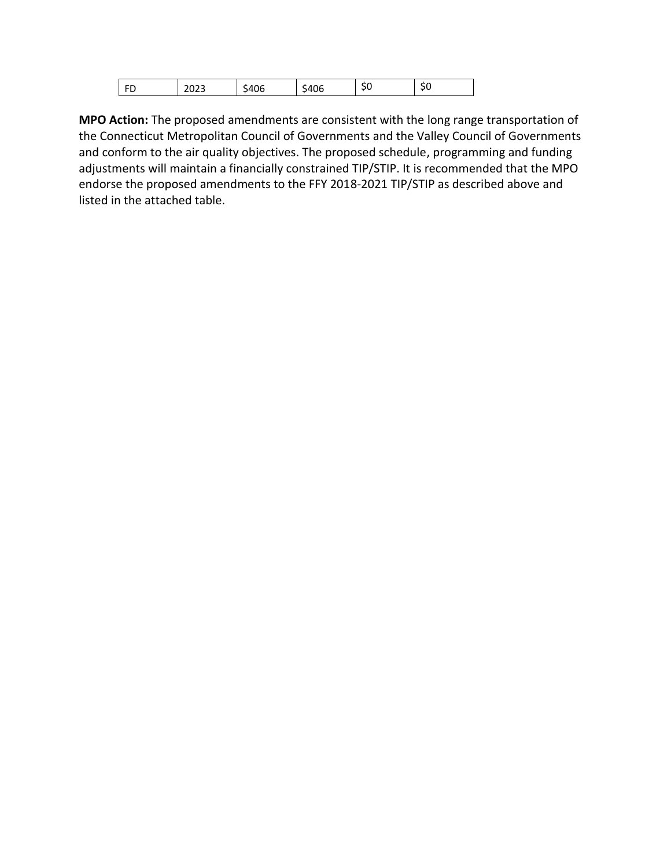| - - |  | ◡ | . . |  |
|-----|--|---|-----|--|
|-----|--|---|-----|--|

**MPO Action:** The proposed amendments are consistent with the long range transportation of the Connecticut Metropolitan Council of Governments and the Valley Council of Governments and conform to the air quality objectives. The proposed schedule, programming and funding adjustments will maintain a financially constrained TIP/STIP. It is recommended that the MPO endorse the proposed amendments to the FFY 2018-2021 TIP/STIP as described above and listed in the attached table.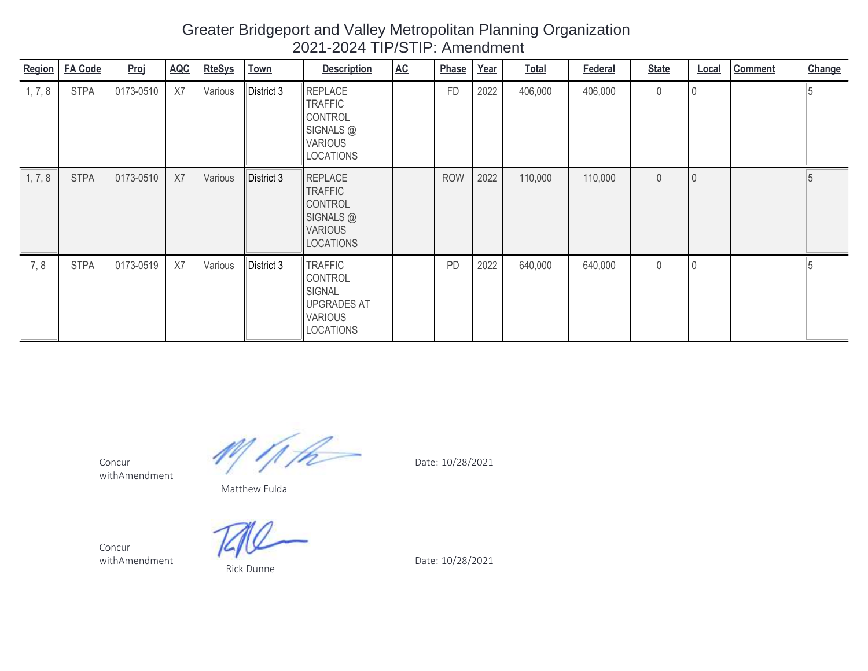| Region  | <b>FA Code</b> | Proj      | <b>AQC</b> | <b>RteSys</b> | Town       | $\underline{\mathsf{AC}}$<br><b>Description</b>                                                        | Phase      | Year | <b>Total</b> | Federal | <b>State</b> | Local | <b>Comment</b> | Change |
|---------|----------------|-----------|------------|---------------|------------|--------------------------------------------------------------------------------------------------------|------------|------|--------------|---------|--------------|-------|----------------|--------|
| 1, 7, 8 | <b>STPA</b>    | 0173-0510 | X7         | Various       | District 3 | <b>REPLACE</b><br><b>TRAFFIC</b><br>CONTROL<br>SIGNALS @<br><b>VARIOUS</b><br><b>LOCATIONS</b>         | <b>FD</b>  | 2022 | 406,000      | 406,000 | $\mathbf 0$  |       |                |        |
| 1, 7, 8 | <b>STPA</b>    | 0173-0510 | X7         | Various       | District 3 | <b>REPLACE</b><br><b>TRAFFIC</b><br>CONTROL<br>SIGNALS @<br><b>VARIOUS</b><br><b>LOCATIONS</b>         | <b>ROW</b> | 2022 | 110,000      | 110,000 | $\theta$     |       |                |        |
| 7,8     | <b>STPA</b>    | 0173-0519 | X7         | Various       | District 3 | <b>TRAFFIC</b><br>CONTROL<br><b>SIGNAL</b><br><b>UPGRADES AT</b><br><b>VARIOUS</b><br><b>LOCATIONS</b> | PD         | 2022 | 640,000      | 640,000 | $\mathbf 0$  |       |                |        |

Greater Bridgeport and Valley Metropolitan Planning Organization 2021-2024 TIP/STIP: Amendment

Concur withAmendment

withAmendment

Concur

Date: 10/28/2021

Matthew Fulda

l

Rick Dunne

Date: 10/28/2021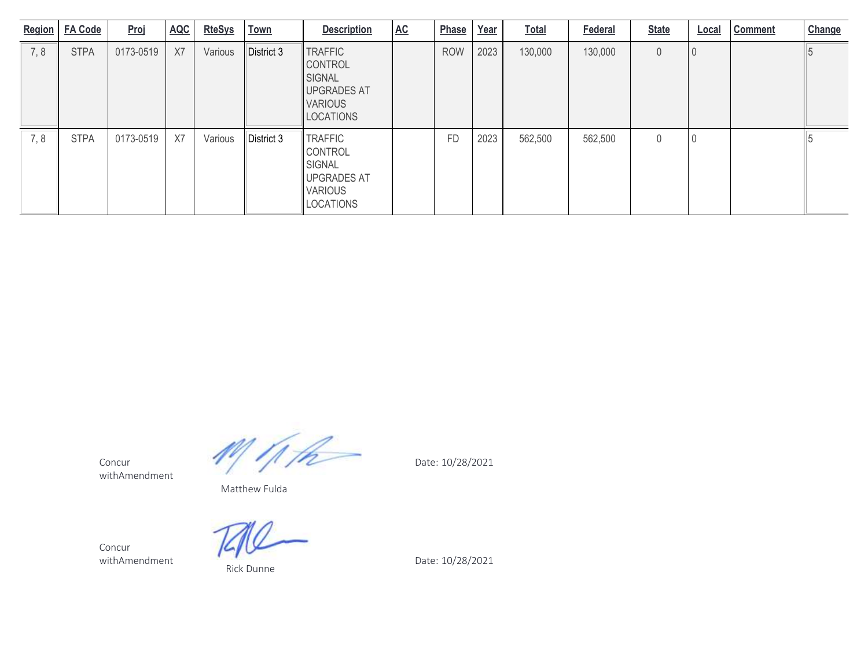| <b>Region</b> | <b>FA Code</b> | Proj      | <b>AQC</b> | <b>RteSys</b> | Town       | <b>Description</b>                                                                              | <b>AC</b> | Phase      | Year | <b>Total</b> | Federal | <b>State</b> | <b>Local</b> | <b>Comment</b> | Change |
|---------------|----------------|-----------|------------|---------------|------------|-------------------------------------------------------------------------------------------------|-----------|------------|------|--------------|---------|--------------|--------------|----------------|--------|
| 7,8           | <b>STPA</b>    | 0173-0519 | X7         | Various       | District 3 | <b>TRAFFIC</b><br>CONTROL<br>SIGNAL<br><b>UPGRADES AT</b><br><b>VARIOUS</b><br><b>LOCATIONS</b> |           | <b>ROW</b> | 2023 | 130,000      | 130,000 | $\mathbf 0$  |              |                |        |
| 7,8           | <b>STPA</b>    | 0173-0519 | X7         | Various       | District 3 | <b>TRAFFIC</b><br>CONTROL<br>SIGNAL<br><b>UPGRADES AT</b><br><b>VARIOUS</b><br><b>LOCATIONS</b> |           | <b>FD</b>  | 2023 | 562,500      | 562,500 | 0            |              |                |        |

Concur withAmendment

withAmendment

Concur

 $\eta$  of the 19

Date: 10/28/2021

Matthew Fulda

l

Rick Dunne

Date: 10/28/2021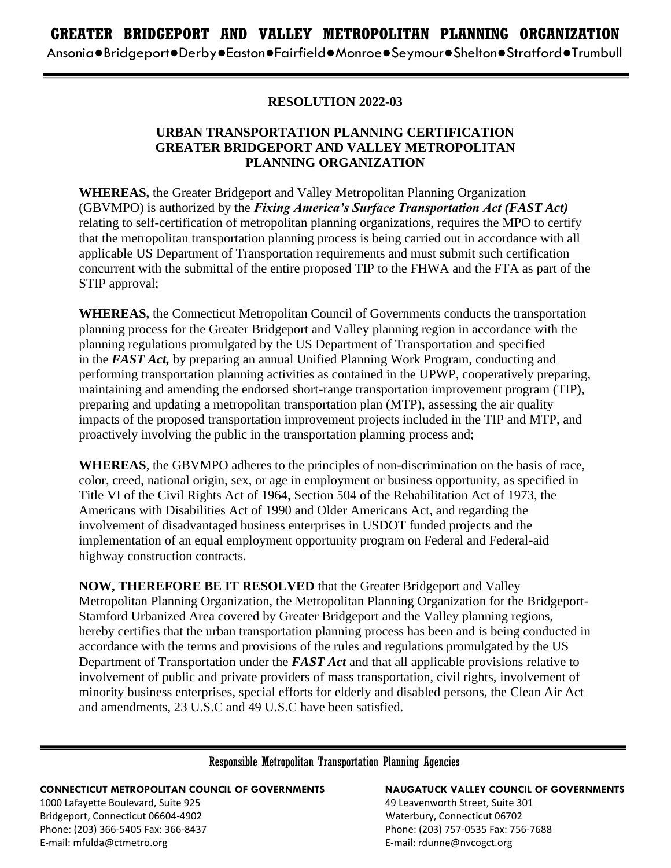# **RESOLUTION 2022-03**

## **URBAN TRANSPORTATION PLANNING CERTIFICATION GREATER BRIDGEPORT AND VALLEY METROPOLITAN PLANNING ORGANIZATION**

**WHEREAS,** the Greater Bridgeport and Valley Metropolitan Planning Organization (GBVMPO) is authorized by the *Fixing America's Surface Transportation Act (FAST Act)* relating to self-certification of metropolitan planning organizations, requires the MPO to certify that the metropolitan transportation planning process is being carried out in accordance with all applicable US Department of Transportation requirements and must submit such certification concurrent with the submittal of the entire proposed TIP to the FHWA and the FTA as part of the STIP approval;

**WHEREAS,** the Connecticut Metropolitan Council of Governments conducts the transportation planning process for the Greater Bridgeport and Valley planning region in accordance with the planning regulations promulgated by the US Department of Transportation and specified in the *FAST Act,* by preparing an annual Unified Planning Work Program, conducting and performing transportation planning activities as contained in the UPWP, cooperatively preparing, maintaining and amending the endorsed short-range transportation improvement program (TIP), preparing and updating a metropolitan transportation plan (MTP), assessing the air quality impacts of the proposed transportation improvement projects included in the TIP and MTP, and proactively involving the public in the transportation planning process and;

**WHEREAS**, the GBVMPO adheres to the principles of non-discrimination on the basis of race, color, creed, national origin, sex, or age in employment or business opportunity, as specified in Title VI of the Civil Rights Act of 1964, Section 504 of the Rehabilitation Act of 1973, the Americans with Disabilities Act of 1990 and Older Americans Act, and regarding the involvement of disadvantaged business enterprises in USDOT funded projects and the implementation of an equal employment opportunity program on Federal and Federal-aid highway construction contracts.

**NOW, THEREFORE BE IT RESOLVED** that the Greater Bridgeport and Valley Metropolitan Planning Organization, the Metropolitan Planning Organization for the Bridgeport-Stamford Urbanized Area covered by Greater Bridgeport and the Valley planning regions, hereby certifies that the urban transportation planning process has been and is being conducted in accordance with the terms and provisions of the rules and regulations promulgated by the US Department of Transportation under the *FAST Act* and that all applicable provisions relative to involvement of public and private providers of mass transportation, civil rights, involvement of minority business enterprises, special efforts for elderly and disabled persons, the Clean Air Act and amendments, 23 U.S.C and 49 U.S.C have been satisfied.

## Responsible Metropolitan Transportation Planning Agencies

## **CONNECTICUT METROPOLITAN COUNCIL OF GOVERNMENTS NAUGATUCK VALLEY COUNCIL OF GOVERNMENTS**

1000 Lafayette Boulevard, Suite 925 49 Leavenworth Street, Suite 301 Bridgeport, Connecticut 06604-4902 Waterbury, Connecticut 06702 Phone: (203) 366-5405 Fax: 366-8437 Phone: (203) 757-0535 Fax: 756-7688 E-mail: mfulda@ctmetro.org E-mail: rdunne@nvcogct.org